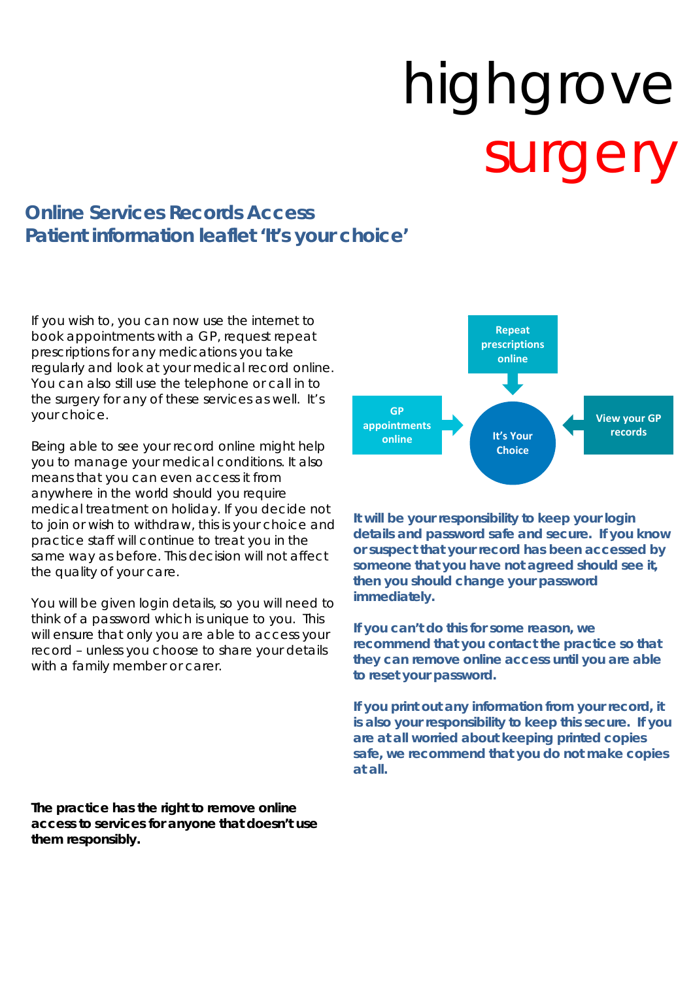# highgrove surger

# **Online Services Records Access Patient information leaflet 'It's your choice'**

If you wish to, you can now use the internet to book appointments with a GP, request repeat prescriptions for any medications you take regularly and look at your medical record online. You can also still use the telephone or call in to the surgery for any of these services as well. It's your choice.

Being able to see your record online might help you to manage your medical conditions. It also means that you can even access it from anywhere in the world should you require medical treatment on holiday. If you decide not to join or wish to withdraw, this is your choice and practice staff will continue to treat you in the same way as before. This decision will not affect the quality of your care.

You will be given login details, so you will need to think of a password which is unique to you. This will ensure that only you are able to access your record – unless you choose to share your details with a family member or carer.

**The practice has the right to remove online access to services for anyone that doesn't use them responsibly.** 



**It will be your responsibility to keep your login details and password safe and secure. If you know or suspect that your record has been accessed by someone that you have not agreed should see it, then you should change your password immediately.** 

**If you can't do this for some reason, we recommend that you contact the practice so that they can remove online access until you are able to reset your password.** 

**If you print out any information from your record, it is also your responsibility to keep this secure. If you are at all worried about keeping printed copies safe, we recommend that you do not make copies at all.**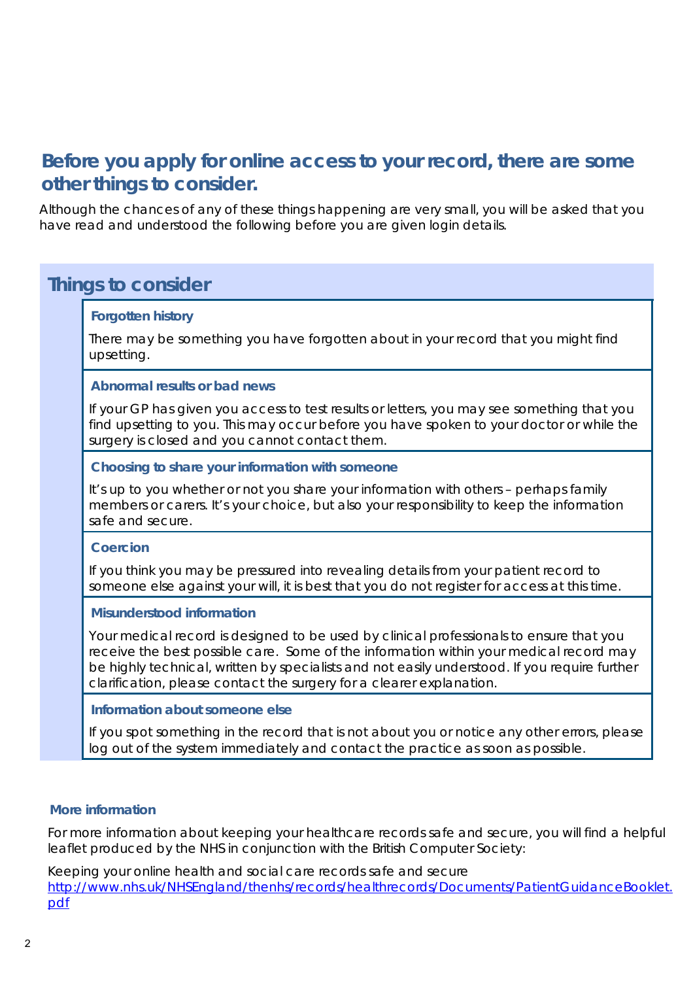# **Before you apply for online access to your record, there are some other things to consider.**

Although the chances of any of these things happening are very small, you will be asked that you have read and understood the following before you are given login details.

# **Things to consider**

#### **Forgotten history**

There may be something you have forgotten about in your record that you might find upsetting.

#### **Abnormal results or bad news**

If your GP has given you access to test results or letters, you may see something that you find upsetting to you. This may occur before you have spoken to your doctor or while the surgery is closed and you cannot contact them.

#### **Choosing to share your information with someone**

It's up to you whether or not you share your information with others – perhaps family members or carers. It's your choice, but also your responsibility to keep the information safe and secure.

#### **Coercion**

If you think you may be pressured into revealing details from your patient record to someone else against your will, it is best that you do not register for access at this time.

#### **Misunderstood information**

Your medical record is designed to be used by clinical professionals to ensure that you receive the best possible care. Some of the information within your medical record may be highly technical, written by specialists and not easily understood. If you require further clarification, please contact the surgery for a clearer explanation.

#### **Information about someone else**

If you spot something in the record that is not about you or notice any other errors, please log out of the system immediately and contact the practice as soon as possible.

#### **More information**

For more information about keeping your healthcare records safe and secure, you will find a helpful leaflet produced by the NHS in conjunction with the British Computer Society:

Keeping your online health and social care records safe and secure http://www.nhs.uk/NHSEngland/thenhs/records/healthrecords/Documents/PatientGuidanceBooklet. pdf